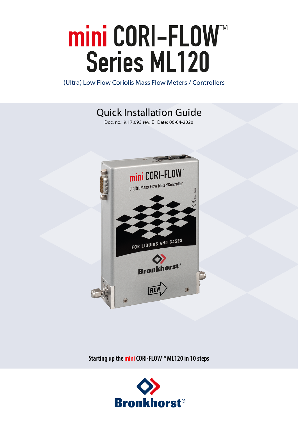# mini CORI-FLOW<sup>"</sup><br>Series ML120

(Ultra) Low Flow Coriolis Mass Flow Meters / Controllers

Quick Installation Guide

Doc. no.: 9.17.093 rev. E Date: 06-04-2020



**Starting up theminiCORI-FLOW™ ML120 in 10 steps**

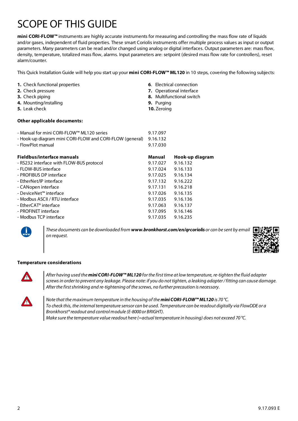# SCOPE OF THIS GUIDE

**mini CORI-FLOW™** instruments are highly accurate instruments for measuring and controlling the mass flow rate of liquids and/or gases, independent of fluid properties. These smart Coriolis instruments offer multiple process values as input or output parameters. Many parameters can be read and/or changed using analog or digital interfaces. Output parameters are: mass flow, density, temperature, totalized mass flow, alarms. Input parameters are: setpoint (desired mass flow rate for controllers), reset alarm/counter.

This Quick Installation Guide will help you start up your **mini CORI-FLOW™ ML120** in 10 steps, covering the following subjects:

**6**. Electrical connection **7.** Operational interface **8.** Multifunctional switch

**9.** Purging **10.** Zeroing

|  |  |  | 1. Check functional properties |
|--|--|--|--------------------------------|
|--|--|--|--------------------------------|

- **2.** Check pressure
- **3.** Check piping
- **4.** Mounting/installing
- **5.** Leak check

### **Other applicable documents:**

| - Manual for mini CORI-FLOW™ ML120 series<br>- Hook-up diagram mini CORI-FLOW and CORI-FLOW (general)<br>- FlowPlot manual | 9.17.097<br>9.16.132<br>9.17.030 |                 |
|----------------------------------------------------------------------------------------------------------------------------|----------------------------------|-----------------|
| <b>Fieldbus/interface manuals</b>                                                                                          | Manual                           | Hook-up diagram |
| - RS232 interface with FLOW-BUS protocol                                                                                   | 9.17.027                         | 9.16.132        |
| - FLOW-BUS interface                                                                                                       | 9.17.024                         | 9.16.133        |
| - PROFIBUS DP interface                                                                                                    | 9.17.025                         | 9.16.134        |
| - EtherNet/IP interface                                                                                                    | 9.17.132                         | 9.16.222        |
| - CANopen interface                                                                                                        | 9.17.131                         | 9.16.218        |
| - DeviceNet™ interface                                                                                                     | 9.17.026                         | 9.16.135        |
| - Modbus ASCII / RTU interface                                                                                             | 9.17.035                         | 9.16.136        |
| - EtherCAT® interface                                                                                                      | 9.17.063                         | 9.16.137        |
| - PROFINET interface                                                                                                       | 9.17.095                         | 9.16.146        |
| - Modbus TCP interface                                                                                                     | 9.17.035                         | 9.16.235        |

*These documents can be downloaded from www.bronkhorst.com/en/qrcoriolisor can be sent by email on request.*



### **Temperature considerations**



*After having used the miniCORI-FLOW™ ML120 forthe firsttime atlowtemperature, re-tighten the fluid adapter* screws in order to prevent any leakage. Please note: if you do not tighten, a leaking adapter/fitting can cause damage. *Afterthe firstshrinking and re-tightening of the screws, no further precaution is necessary.*



*Note thatthe maximum temperature in the housing of the miniCORI-FLOW™ ML120 is 70 °C.* To check this, the internal temperature sensor can be used. Temperature can be readout digitally via FlowDDE or a *Bronkhorst®readout and control module (E-8000or BRIGHT). Make sure the temperature value readout here (=actualtemperature in housing) does not exceed 70 °C.*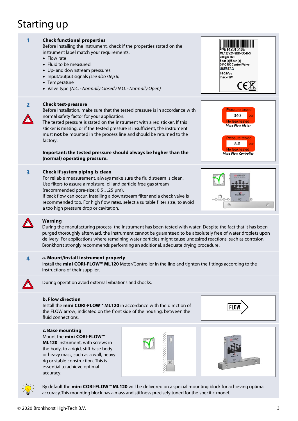# Starting up

| 1              | <b>Check functional properties</b><br>Before installing the instrument, check if the properties stated on the<br>instrument label match your requirements:<br>• Flow rate<br>• Fluid to be measured<br>• Up- and downstream pressures<br>• Input/output signals (see also step 6)<br>• Temperature<br>• Valve type (N.C. - Normally Closed / N.O. - Normally Open)                                                                                                                                                | <b>ML120V21-SBD-CC-K-S</b><br>200 g/h H2O<br>5bar (a)/5bar (a)<br>20°C NO Control Valve<br><b>USERTAG</b><br>15-24Vdc<br>max 4.1W<br>$\mathsf{CE}$      |  |  |  |
|----------------|-------------------------------------------------------------------------------------------------------------------------------------------------------------------------------------------------------------------------------------------------------------------------------------------------------------------------------------------------------------------------------------------------------------------------------------------------------------------------------------------------------------------|---------------------------------------------------------------------------------------------------------------------------------------------------------|--|--|--|
| $\overline{2}$ | <b>Check test-pressure</b><br>Before installation, make sure that the tested pressure is in accordance with<br>normal safety factor for your application.<br>The tested pressure is stated on the instrument with a red sticker. If this<br>sticker is missing, or if the tested pressure is insufficient, the instrument<br>must not be mounted in the process line and should be returned to the<br>factory.<br>Important: the tested pressure should always be higher than the<br>(normal) operating pressure. | <b>Pressure tested</b><br>340<br>bar<br>He leak tested<br><b>Mass Flow Meter</b><br><b>Pressure tested</b><br>8.5<br>bar<br><b>Mass Flow Controller</b> |  |  |  |
| 3              | Check if system piping is clean<br>For reliable measurement, always make sure the fluid stream is clean.<br>Use filters to assure a moisture, oil and particle free gas stream<br>(recommended pore-size: 0.525 µm).<br>If back flow can occur, installing a downstream filter and a check valve is<br>recommended too. For high flow rates, select a suitable filter size, to avoid<br>$_{\odot}$<br>a too high pressure drop or cavitation.                                                                     |                                                                                                                                                         |  |  |  |
|                | Warning<br>During the manufacturing process, the instrument has been tested with water. Despite the fact that it has been<br>purged thoroughly afterward, the instrument cannot be guaranteed to be absolutely free of water droplets upon<br>delivery. For applications where remaining water particles might cause undesired reactions, such as corrosion,<br>Bronkhorst strongly recommends performing an additional, adequate drying procedure.                                                               |                                                                                                                                                         |  |  |  |
| 4              | a. Mount/install instrument properly<br>Install the mini CORI-FLOW™ ML120 Meter/Controller in the line and tighten the fittings according to the<br>instructions of their supplier.                                                                                                                                                                                                                                                                                                                               |                                                                                                                                                         |  |  |  |
|                | During operation avoid external vibrations and shocks.                                                                                                                                                                                                                                                                                                                                                                                                                                                            |                                                                                                                                                         |  |  |  |
|                | <b>b. Flow direction</b><br>Install the mini CORI-FLOW™ ML120 in accordance with the direction of<br>the FLOW arrow, indicated on the front side of the housing, between the<br>fluid connections.                                                                                                                                                                                                                                                                                                                |                                                                                                                                                         |  |  |  |
|                | c. Base mounting<br>Mount the mini CORI-FLOW™<br>ML120 instrument, with screws in<br>the body, to a rigid, stiff base body<br>or heavy mass, such as a wall, heavy<br>rig or stable construction. This is<br>essential to achieve optimal<br>accuracy.                                                                                                                                                                                                                                                            |                                                                                                                                                         |  |  |  |
|                | By default the mini CORI-FLOW™ ML120 will be delivered on a special mounting block for achieving optimal<br>accuracy. This mounting block has a mass and stiffness precisely tuned for the specific model.                                                                                                                                                                                                                                                                                                        |                                                                                                                                                         |  |  |  |

accuracy.This mounting block has a mass and stiffness precisely tuned for the specific model.

© 2020 Bronkhorst High-Tech B.V. 3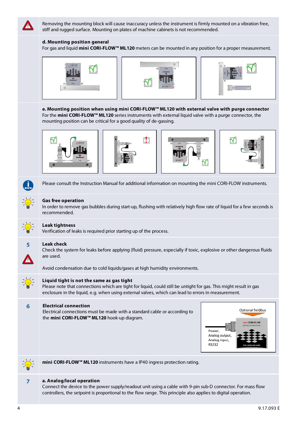

Removing the mounting block will cause inaccuracy unless the instrument is firmly mounted on a vibration free, stiff and rugged surface. Mounting on plates of machine cabinets is not recommended.

### **d. Mounting position general**

For gas and liquid **mini CORI-FLOW™ ML120** meters can be mounted in any position for a proper measurement.







**e. Mounting position when using mini CORI-FLOW™ ML120 with external valve with purge connector** For the **mini CORI-FLOW™ ML120** series instruments with external liquid valve with a purge connector, the mounting position can be critical for a good quality of de-gassing.









Please consult the Instruction Manual for additional information on mounting the mini CORI-FLOW instruments.



### **Gas free operation**

In order to remove gas bubbles during start-up, flushing with relatively high flow rate of liquid for a few seconds is recommended.



### **Leak tightness**

Verification of leaks is required prior starting up of the process.



### **5 Leak check**

Check the system for leaks before applying (fluid) pressure, especially if toxic, explosive or other dangerous fluids are used.



### **Liquid tight is not the same as gas tight**

Please note that connections which are tight for liquid, could still be untight for gas. This might result in gas enclosure in the liquid, e.g. when using external valves, which can lead to errors in measurement.

### **6 Electrical connection**

Electrical connections must be made with a standard cable or according to the **mini CORI-FLOW™ ML120** hook-up diagram.

Avoid condensation due to cold liquids/gases at high humidity environments.





**mini CORI-FLOW™ ML120** instruments have a IP40 ingress protection rating.



### **7 a. Analog/local operation**

Connect the device to the power supply/readout unit using a cable with 9-pin sub-D connector. For mass flow controllers, the setpoint is proportional to the flow range. This principle also applies to digital operation.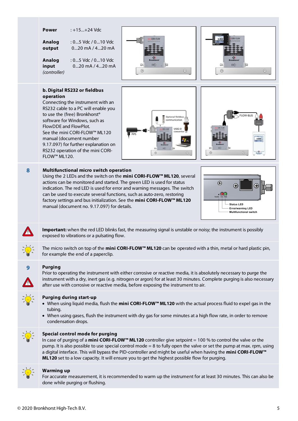